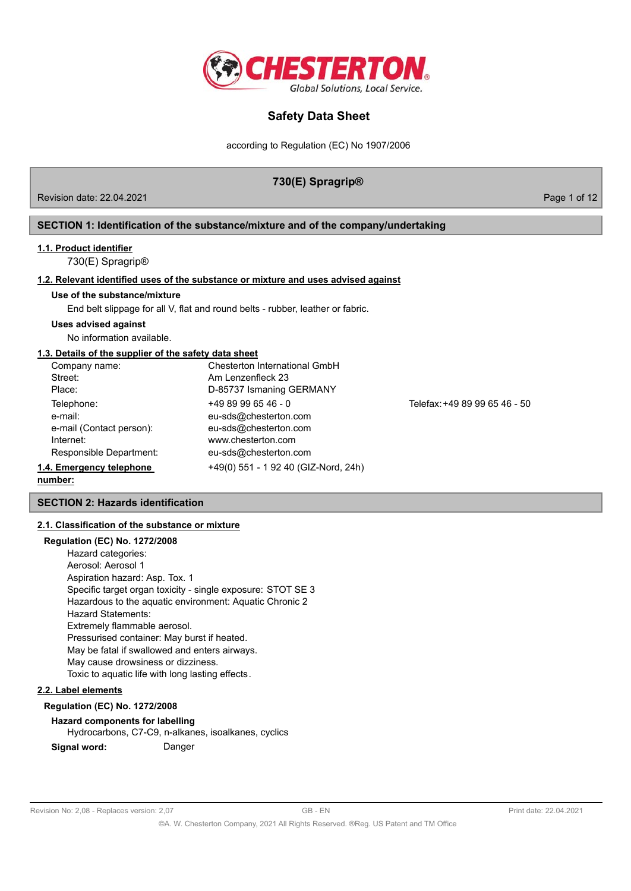

according to Regulation (EC) No 1907/2006

## **730(E) Spragrip®**

Revision date: 22.04.2021 **Page 1 of 12** Page 1 of 12

## **SECTION 1: Identification of the substance/mixture and of the company/undertaking**

## **1.1. Product identifier**

730(E) Spragrip®

## **1.2. Relevant identified uses of the substance or mixture and uses advised against**

**Use of the substance/mixture**

End belt slippage for all V, flat and round belts - rubber, leather or fabric.

## **Uses advised against**

No information available.

#### **1.3. Details of the supplier of the safety data sheet**

| Company name:            | Chesterton International GmbH        |                               |
|--------------------------|--------------------------------------|-------------------------------|
| Street:                  | Am Lenzenfleck 23                    |                               |
| Place:                   | D-85737 Ismaning GERMANY             |                               |
| Telephone:               | $+4989996546 - 0$                    | Telefax: +49 89 99 65 46 - 50 |
| e-mail:                  | eu-sds@chesterton.com                |                               |
| e-mail (Contact person): | eu-sds@chesterton.com                |                               |
| Internet:                | www.chesterton.com                   |                               |
| Responsible Department:  | eu-sds@chesterton.com                |                               |
| 1.4. Emergency telephone | +49(0) 551 - 1 92 40 (GIZ-Nord, 24h) |                               |
|                          |                                      |                               |

#### **number:**

## **SECTION 2: Hazards identification**

## **2.1. Classification of the substance or mixture**

#### **Regulation (EC) No. 1272/2008**

Hazard categories: Aerosol: Aerosol 1 Aspiration hazard: Asp. Tox. 1 Specific target organ toxicity - single exposure: STOT SE 3 Hazardous to the aquatic environment: Aquatic Chronic 2 Hazard Statements: Extremely flammable aerosol. Pressurised container: May burst if heated. May be fatal if swallowed and enters airways. May cause drowsiness or dizziness. Toxic to aquatic life with long lasting effects.

## **2.2. Label elements**

## **Regulation (EC) No. 1272/2008**

## **Hazard components for labelling**

Hydrocarbons, C7-C9, n-alkanes, isoalkanes, cyclics

**Signal word:** Danger

Revision No: 2,08 - Replaces version: 2,07 GB - EN GB - EN Print date: 22.04.2021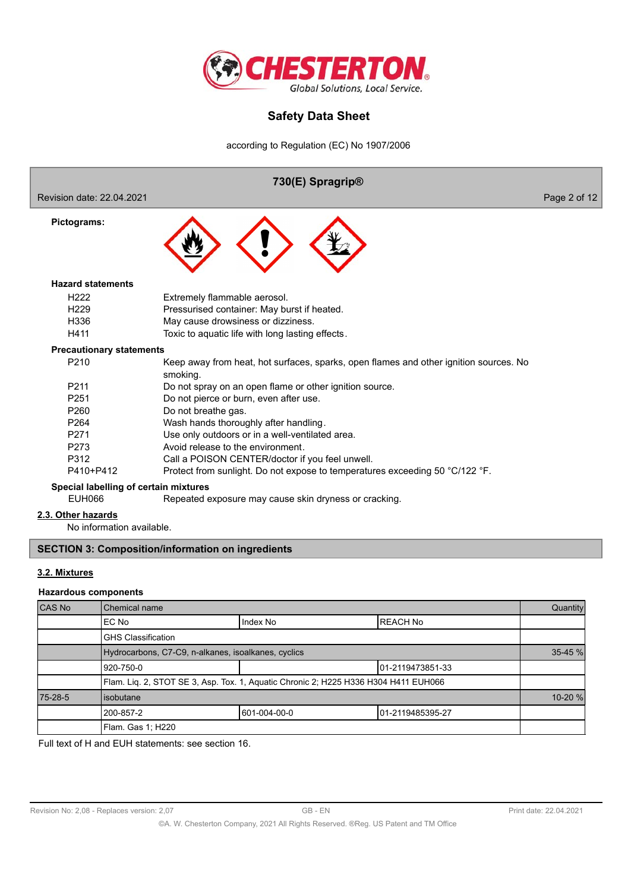

according to Regulation (EC) No 1907/2006



## **3.2. Mixtures**

#### **Hazardous components**

| CAS No  | Chemical name                                                                       |              |                   | Quantity    |
|---------|-------------------------------------------------------------------------------------|--------------|-------------------|-------------|
|         | EC No                                                                               | Index No     | <b>IREACH No</b>  |             |
|         | <b>GHS Classification</b>                                                           |              |                   |             |
|         | Hydrocarbons, C7-C9, n-alkanes, isoalkanes, cyclics                                 |              |                   | 35-45 %     |
|         | 920-750-0                                                                           |              | 101-2119473851-33 |             |
|         | Flam. Liq. 2, STOT SE 3, Asp. Tox. 1, Aquatic Chronic 2; H225 H336 H304 H411 EUH066 |              |                   |             |
| 75-28-5 | lisobutane                                                                          |              |                   | $10 - 20$ % |
|         | 200-857-2                                                                           | 601-004-00-0 | 101-2119485395-27 |             |
|         | Flam. Gas 1; H220                                                                   |              |                   |             |

Full text of H and EUH statements: see section 16.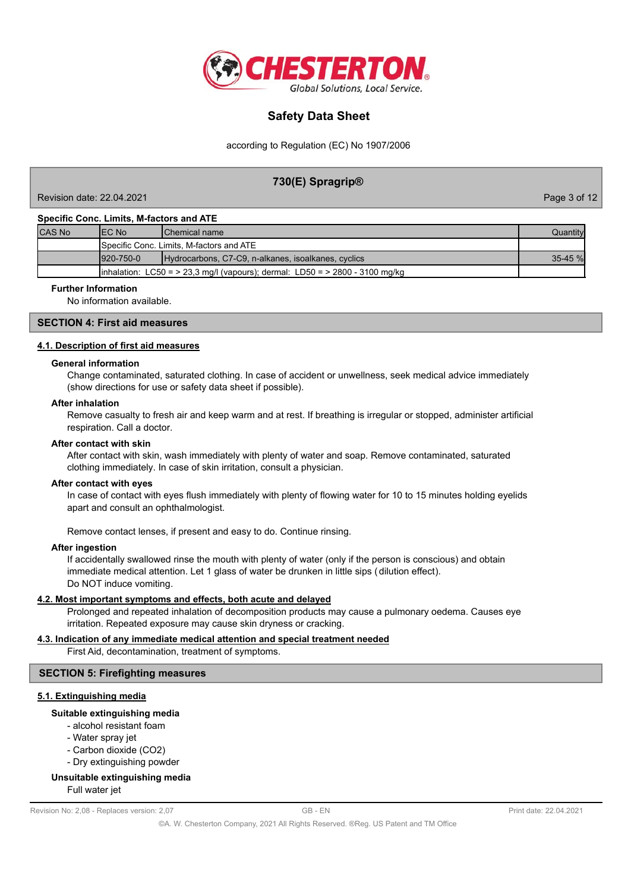

according to Regulation (EC) No 1907/2006

## **730(E) Spragrip®**

Revision date: 22.04.2021 Page 3 of 12

#### **Specific Conc. Limits, M-factors and ATE**

| <b>CAS No</b>                                                                | IEC No<br><b>IChemical name</b>                                         |  | Quantityl    |
|------------------------------------------------------------------------------|-------------------------------------------------------------------------|--|--------------|
|                                                                              | <b>I</b> Specific Conc. Limits. M-factors and ATE                       |  |              |
|                                                                              | $1920 - 750 - 0$<br>Hydrocarbons, C7-C9, n-alkanes, isoalkanes, cyclics |  | $35 - 45 \%$ |
| inhalation: LC50 = > 23,3 mg/l (vapours); dermal: LD50 = > 2800 - 3100 mg/kg |                                                                         |  |              |

#### **Further Information**

No information available.

## **SECTION 4: First aid measures**

#### **4.1. Description of first aid measures**

#### **General information**

Change contaminated, saturated clothing. In case of accident or unwellness, seek medical advice immediately (show directions for use or safety data sheet if possible).

#### **After inhalation**

Remove casualty to fresh air and keep warm and at rest. If breathing is irregular or stopped, administer artificial respiration. Call a doctor.

#### **After contact with skin**

After contact with skin, wash immediately with plenty of water and soap. Remove contaminated, saturated clothing immediately. In case of skin irritation, consult a physician.

#### **After contact with eyes**

In case of contact with eyes flush immediately with plenty of flowing water for 10 to 15 minutes holding eyelids apart and consult an ophthalmologist.

Remove contact lenses, if present and easy to do. Continue rinsing.

#### **After ingestion**

If accidentally swallowed rinse the mouth with plenty of water (only if the person is conscious) and obtain immediate medical attention. Let 1 glass of water be drunken in little sips ( dilution effect). Do NOT induce vomiting.

#### **4.2. Most important symptoms and effects, both acute and delayed**

Prolonged and repeated inhalation of decomposition products may cause a pulmonary oedema. Causes eye irritation. Repeated exposure may cause skin dryness or cracking.

#### **4.3. Indication of any immediate medical attention and special treatment needed**

First Aid, decontamination, treatment of symptoms.

#### **SECTION 5: Firefighting measures**

## **5.1. Extinguishing media**

#### **Suitable extinguishing media**

- alcohol resistant foam
- Water spray jet
- Carbon dioxide (CO2)
- Dry extinguishing powder

#### **Unsuitable extinguishing media**

Full water jet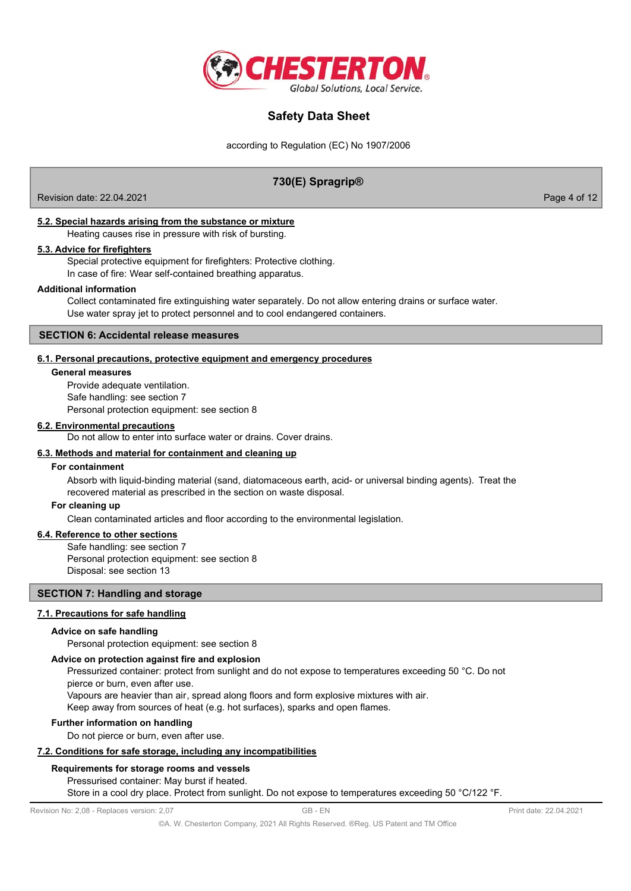

according to Regulation (EC) No 1907/2006

## **730(E) Spragrip®**

Revision date: 22.04.2021 **Page 4 of 12** 

## **5.2. Special hazards arising from the substance or mixture**

Heating causes rise in pressure with risk of bursting.

## **5.3. Advice for firefighters**

Special protective equipment for firefighters: Protective clothing. In case of fire: Wear self-contained breathing apparatus.

### **Additional information**

Collect contaminated fire extinguishing water separately. Do not allow entering drains or surface water. Use water spray jet to protect personnel and to cool endangered containers.

### **SECTION 6: Accidental release measures**

### **6.1. Personal precautions, protective equipment and emergency procedures**

#### **General measures**

Provide adequate ventilation. Safe handling: see section 7 Personal protection equipment: see section 8

### **6.2. Environmental precautions**

Do not allow to enter into surface water or drains. Cover drains.

## **6.3. Methods and material for containment and cleaning up**

#### **For containment**

Absorb with liquid-binding material (sand, diatomaceous earth, acid- or universal binding agents). Treat the recovered material as prescribed in the section on waste disposal.

#### **For cleaning up**

Clean contaminated articles and floor according to the environmental legislation.

## **6.4. Reference to other sections**

Safe handling: see section 7 Personal protection equipment: see section 8 Disposal: see section 13

### **SECTION 7: Handling and storage**

## **7.1. Precautions for safe handling**

#### **Advice on safe handling**

Personal protection equipment: see section 8

### **Advice on protection against fire and explosion**

Pressurized container: protect from sunlight and do not expose to temperatures exceeding 50 °C. Do not pierce or burn, even after use.

Vapours are heavier than air, spread along floors and form explosive mixtures with air.

Keep away from sources of heat (e.g. hot surfaces), sparks and open flames.

#### **Further information on handling**

Do not pierce or burn, even after use.

#### **7.2. Conditions for safe storage, including any incompatibilities**

#### **Requirements for storage rooms and vessels**

Pressurised container: May burst if heated.

Store in a cool dry place. Protect from sunlight. Do not expose to temperatures exceeding 50 °C/122 °F.

Revision No: 2,08 - Replaces version: 2,07 GB - EN GB - EN Print date: 22.04.2021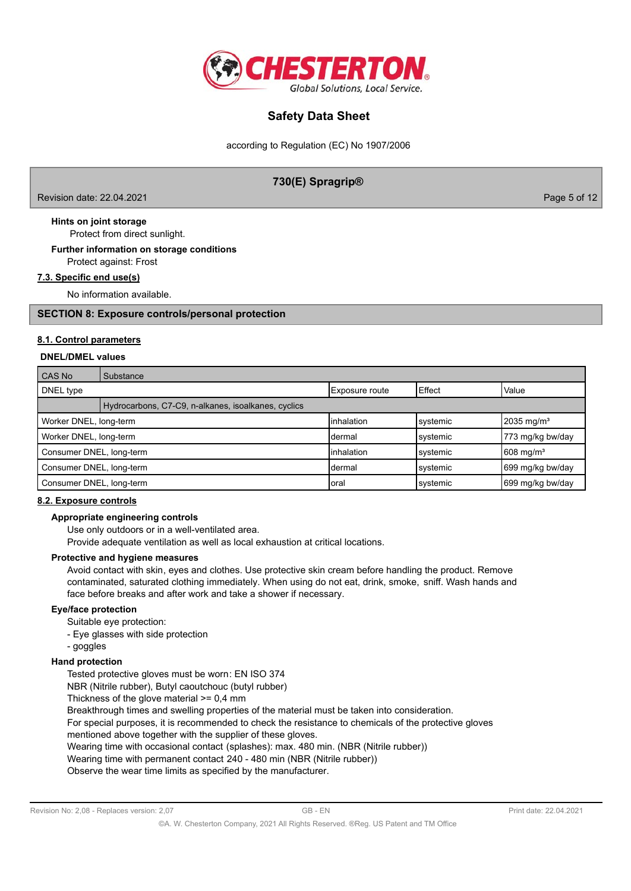

according to Regulation (EC) No 1907/2006

## **730(E) Spragrip®**

Revision date: 22.04.2021 **Page 5 of 12** 

 Protect from direct sunlight. **Hints on joint storage**

## Protect against: Frost **Further information on storage conditions**

## **7.3. Specific end use(s)**

No information available.

## **SECTION 8: Exposure controls/personal protection**

## **8.1. Control parameters**

### **DNEL/DMEL values**

| CAS No                   | Substance                                           |                |          |                          |
|--------------------------|-----------------------------------------------------|----------------|----------|--------------------------|
| DNEL type                |                                                     | Exposure route | Effect   | Value                    |
|                          | Hydrocarbons, C7-C9, n-alkanes, isoalkanes, cyclics |                |          |                          |
| Worker DNEL, long-term   |                                                     | linhalation    | systemic | $2035 \text{ mg/m}^3$    |
| Worker DNEL, long-term   |                                                     | Idermal        | systemic | 773 mg/kg bw/day         |
| Consumer DNEL, long-term |                                                     | linhalation    | systemic | $1608$ mg/m <sup>3</sup> |
| Consumer DNEL, long-term |                                                     | Idermal        | systemic | 699 mg/kg bw/day         |
| Consumer DNEL, long-term |                                                     | Ioral          | systemic | 699 mg/kg bw/day         |

## **8.2. Exposure controls**

#### **Appropriate engineering controls**

Use only outdoors or in a well-ventilated area.

Provide adequate ventilation as well as local exhaustion at critical locations.

#### **Protective and hygiene measures**

Avoid contact with skin, eyes and clothes. Use protective skin cream before handling the product. Remove contaminated, saturated clothing immediately. When using do not eat, drink, smoke, sniff. Wash hands and face before breaks and after work and take a shower if necessary.

## **Eye/face protection**

Suitable eye protection:

- Eye glasses with side protection
- goggles

## **Hand protection**

Tested protective gloves must be worn: EN ISO 374

NBR (Nitrile rubber), Butyl caoutchouc (butyl rubber)

Thickness of the glove material >= 0,4 mm

Breakthrough times and swelling properties of the material must be taken into consideration.

For special purposes, it is recommended to check the resistance to chemicals of the protective gloves

mentioned above together with the supplier of these gloves.

Wearing time with occasional contact (splashes): max. 480 min. (NBR (Nitrile rubber))

Wearing time with permanent contact 240 - 480 min (NBR (Nitrile rubber))

Observe the wear time limits as specified by the manufacturer.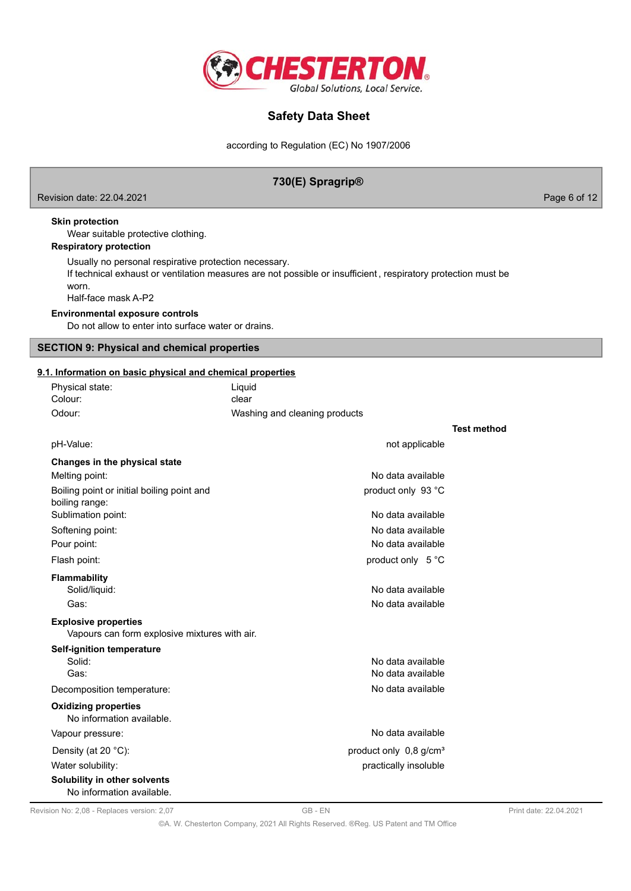

according to Regulation (EC) No 1907/2006

## **730(E) Spragrip®** Revision date: 22.04.2021 **Page 6 of 12** According to the control of the control of the control of the control of the control of the control of the control of the control of the control of the control of the control of the Wear suitable protective clothing. **Skin protection** Usually no personal respirative protection necessary. If technical exhaust or ventilation measures are not possible or insufficient , respiratory protection must be worn. Half-face mask A-P2 **Respiratory protection** Do not allow to enter into surface water or drains. **Environmental exposure controls** Physical state: Liquid **9.1. Information on basic physical and chemical properties SECTION 9: Physical and chemical properties** Colour: clear Odour: Contract Mashing and cleaning products **Test method** pH-Value: not applicable **Changes in the physical state** Melting point: No data available with the set of the set of the set of the set of the set of the set of the set of the set of the set of the set of the set of the set of the set of the set of the set of the set of the set Boiling point or initial boiling point and product only 93 °C boiling range: Sublimation point: No data available Softening point: No data available Pour point: No data available Flash point: **product only 5 °C Flammability** Solid/liquid: No data available Gas: Contract Contract Contract Contract Contract Contract Contract Contract Contract Contract Contract Contract Contract Contract Contract Contract Contract Contract Contract Contract Contract Contract Contract Contract C

Vapours can form explosive mixtures with air. **Explosive properties**

| Self-ignition temperature                                 |                                      |
|-----------------------------------------------------------|--------------------------------------|
| Solid:                                                    | No data available                    |
| Gas:                                                      | No data available                    |
| Decomposition temperature:                                | No data available                    |
| <b>Oxidizing properties</b><br>No information available.  |                                      |
| Vapour pressure:                                          | No data available                    |
| Density (at 20 $°C$ ):                                    | product only $0.8$ g/cm <sup>3</sup> |
| Water solubility:                                         | practically insoluble                |
| Solubility in other solvents<br>No information available. |                                      |

Revision No: 2,08 - Replaces version: 2,07 GB - EN GB - EN Print date: 22.04.2021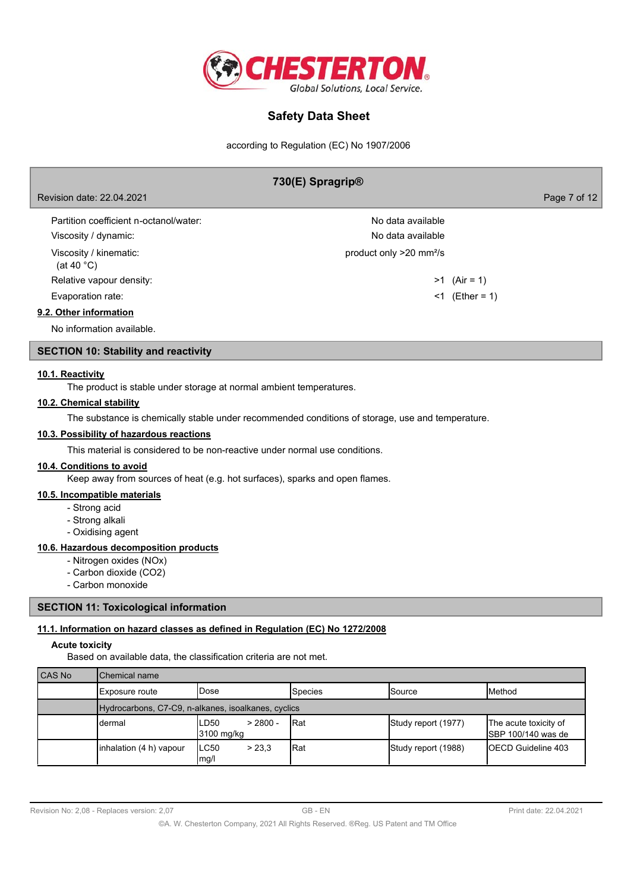

according to Regulation (EC) No 1907/2006

## **730(E) Spragrip®**

Revision date: 22.04.2021 Page 7 of 12

| Partition coefficient n-octanol/water:<br>Viscosity / dynamic: | No data available.<br>No data available |                  |
|----------------------------------------------------------------|-----------------------------------------|------------------|
| Viscosity / kinematic:<br>(at 40 $^{\circ}$ C)                 | product only >20 mm <sup>2</sup> /s     |                  |
| Relative vapour density:                                       |                                         | $>1$ (Air = 1)   |
| Evaporation rate:                                              |                                         | $<1$ (Ether = 1) |
| 9.2. Other information                                         |                                         |                  |
|                                                                |                                         |                  |

No information available.

## **SECTION 10: Stability and reactivity**

## **10.1. Reactivity**

The product is stable under storage at normal ambient temperatures.

### **10.2. Chemical stability**

The substance is chemically stable under recommended conditions of storage, use and temperature.

## **10.3. Possibility of hazardous reactions**

This material is considered to be non-reactive under normal use conditions.

#### **10.4. Conditions to avoid**

Keep away from sources of heat (e.g. hot surfaces), sparks and open flames.

#### **10.5. Incompatible materials**

- Strong acid
- Strong alkali
- Oxidising agent

## **10.6. Hazardous decomposition products**

- Nitrogen oxides (NOx)
- Carbon dioxide (CO2)
- Carbon monoxide

### **SECTION 11: Toxicological information**

## **11.1. Information on hazard classes as defined in Regulation (EC) No 1272/2008**

## **Acute toxicity**

Based on available data, the classification criteria are not met.

| CAS No | Chemical name                                       |                                   |                |                     |                                                      |
|--------|-----------------------------------------------------|-----------------------------------|----------------|---------------------|------------------------------------------------------|
|        | Exposure route                                      | <b>IDose</b>                      | <b>Species</b> | lSource             | <b>IMethod</b>                                       |
|        | Hydrocarbons, C7-C9, n-alkanes, isoalkanes, cyclics |                                   |                |                     |                                                      |
|        | dermal                                              | $> 2800 -$<br>LD50<br>3100 mg/kg  | <b>I</b> Rat   | Study report (1977) | The acute toxicity of<br><b>I</b> SBP 100/140 was de |
|        | inhalation (4 h) vapour                             | ILC50<br>> 23.3<br>$\lfloor$ mg/l | Rat            | Study report (1988) | <b>IOECD Guideline 403</b>                           |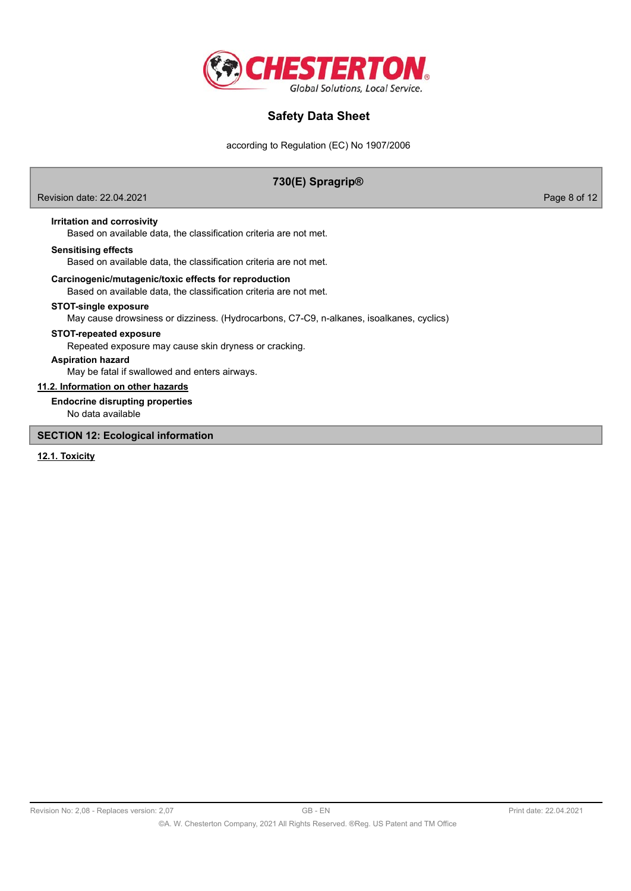

according to Regulation (EC) No 1907/2006

## **730(E) Spragrip®**

Revision date: 22.04.2021 **Page 8 of 12** 

## **Irritation and corrosivity**

Based on available data, the classification criteria are not met.

#### **Sensitising effects**

Based on available data, the classification criteria are not met.

#### **Carcinogenic/mutagenic/toxic effects for reproduction**

Based on available data, the classification criteria are not met.

### **STOT-single exposure**

May cause drowsiness or dizziness. (Hydrocarbons, C7-C9, n-alkanes, isoalkanes, cyclics)

#### **STOT-repeated exposure**

Repeated exposure may cause skin dryness or cracking.

## **Aspiration hazard**

May be fatal if swallowed and enters airways.

## **11.2. Information on other hazards**

**Endocrine disrupting properties**

No data available

**SECTION 12: Ecological information**

### **12.1. Toxicity**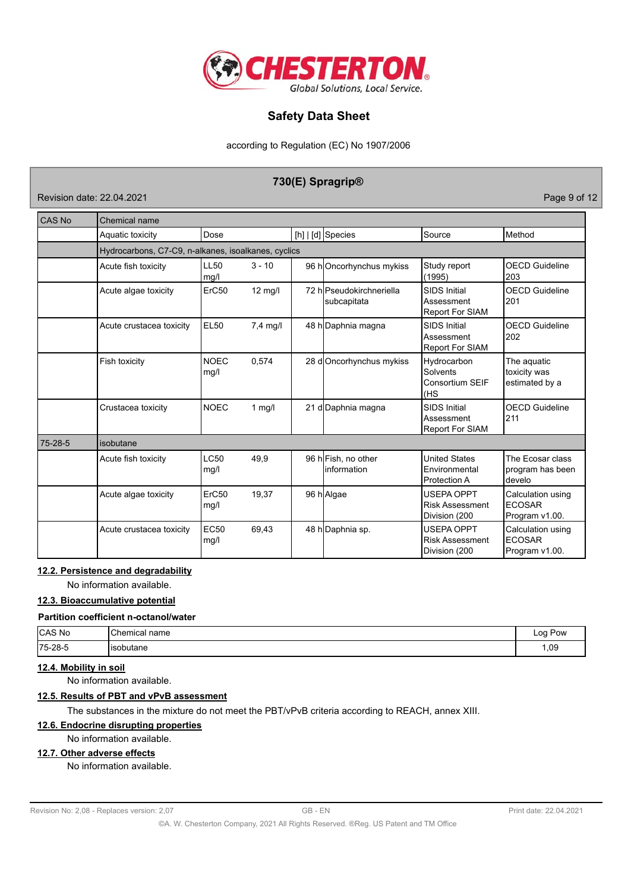

according to Regulation (EC) No 1907/2006

## **730(E) Spragrip®**

Revision date: 22.04.2021 **Page 9 of 12** 

| CAS No        | Chemical name                                       |                     |                    |                                         |                                                              |                                                      |
|---------------|-----------------------------------------------------|---------------------|--------------------|-----------------------------------------|--------------------------------------------------------------|------------------------------------------------------|
|               | Aquatic toxicity                                    | Dose                |                    | $[h]   [d]$ Species                     | Source                                                       | Method                                               |
|               | Hydrocarbons, C7-C9, n-alkanes, isoalkanes, cyclics |                     |                    |                                         |                                                              |                                                      |
|               | Acute fish toxicity                                 | LL50<br>mg/l        | $3 - 10$           | 96 hOncorhynchus mykiss                 | Study report<br>(1995)                                       | <b>OECD Guideline</b><br>203                         |
|               | Acute algae toxicity                                | ErC50               | $12 \text{ mg/l}$  | 72 hlPseudokirchneriella<br>subcapitata | <b>SIDS Initial</b><br>Assessment<br>Report For SIAM         | <b>OECD Guideline</b><br>201                         |
|               | Acute crustacea toxicity                            | <b>EL50</b>         | $7.4 \text{ mq/l}$ | 48 h Daphnia magna                      | <b>SIDS Initial</b><br>Assessment<br><b>Report For SIAM</b>  | <b>OECD Guideline</b><br>202                         |
|               | Fish toxicity                                       | <b>NOEC</b><br>mg/l | 0,574              | 28 doncorhynchus mykiss                 | Hydrocarbon<br>Solvents<br>Consortium SEIF<br>(HS            | The aquatic<br>toxicity was<br>estimated by a        |
|               | Crustacea toxicity                                  | <b>NOEC</b>         | $1$ mg/l           | 21 d Daphnia magna                      | <b>SIDS Initial</b><br>Assessment<br><b>Report For SIAM</b>  | <b>OECD Guideline</b><br>211                         |
| $75 - 28 - 5$ | isobutane                                           |                     |                    |                                         |                                                              |                                                      |
|               | Acute fish toxicity                                 | <b>LC50</b><br>mg/l | 49,9               | 96 hFish, no other<br>linformation      | <b>United States</b><br>Environmental<br><b>Protection A</b> | The Ecosar class<br>program has been<br>develo       |
|               | Acute algae toxicity                                | ErC50<br>mg/l       | 19,37              | 96 h Algae                              | USEPA OPPT<br><b>Risk Assessment</b><br>Division (200        | Calculation using<br><b>ECOSAR</b><br>Program v1.00. |
|               | Acute crustacea toxicity                            | <b>EC50</b><br>mg/l | 69.43              | 48 h Daphnia sp.                        | <b>USEPA OPPT</b><br><b>Risk Assessment</b><br>Division (200 | Calculation using<br><b>ECOSAR</b><br>Program v1.00. |

## **12.2. Persistence and degradability**

No information available.

## **12.3. Bioaccumulative potential**

#### **Partition coefficient n-octanol/water**

| CAS No  | 10L<br>name | $\sim$<br><b>POW</b><br>. |
|---------|-------------|---------------------------|
| 75-28-5 | '≀tane      | .,09                      |

## **12.4. Mobility in soil**

No information available.

## **12.5. Results of PBT and vPvB assessment**

The substances in the mixture do not meet the PBT/vPvB criteria according to REACH, annex XIII.

## **12.6. Endocrine disrupting properties**

## No information available.

## **12.7. Other adverse effects**

No information available.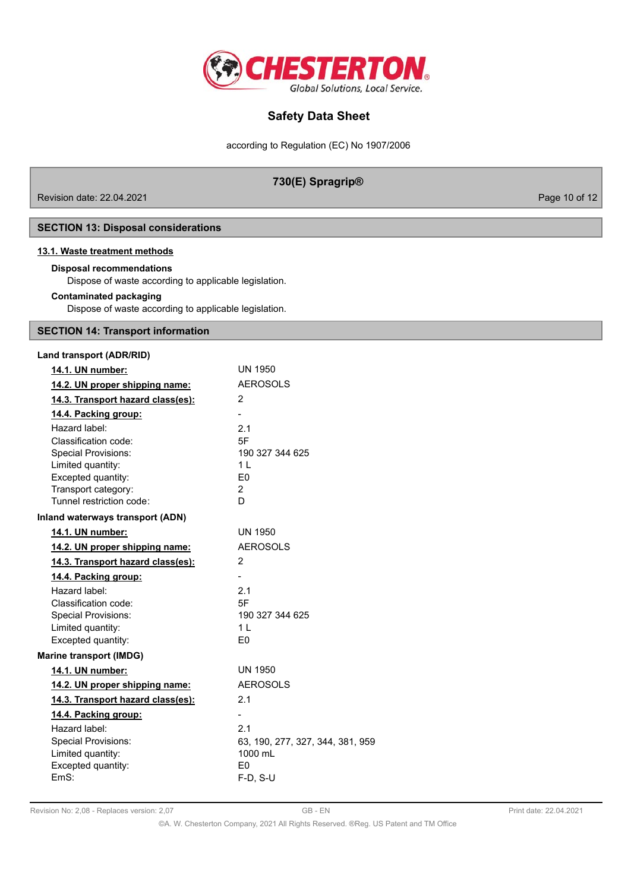

according to Regulation (EC) No 1907/2006

## **730(E) Spragrip®**

Revision date: 22.04.2021 Page 10 of 12

**SECTION 13: Disposal considerations**

### **13.1. Waste treatment methods**

### **Disposal recommendations**

Dispose of waste according to applicable legislation.

### **Contaminated packaging**

Dispose of waste according to applicable legislation.

## **SECTION 14: Transport information**

| Land transport (ADR/RID)          |                                  |
|-----------------------------------|----------------------------------|
| 14.1. UN number:                  | <b>UN 1950</b>                   |
| 14.2. UN proper shipping name:    | <b>AEROSOLS</b>                  |
| 14.3. Transport hazard class(es): | 2                                |
| 14.4. Packing group:              |                                  |
| Hazard label:                     | 2.1                              |
| Classification code:              | 5F                               |
| <b>Special Provisions:</b>        | 190 327 344 625                  |
| Limited quantity:                 | 1 <sup>1</sup>                   |
| Excepted quantity:                | E <sub>0</sub>                   |
| Transport category:               | $\overline{2}$                   |
| Tunnel restriction code:          | D                                |
| Inland waterways transport (ADN)  |                                  |
| 14.1. UN number:                  | UN 1950                          |
| 14.2. UN proper shipping name:    | <b>AEROSOLS</b>                  |
| 14.3. Transport hazard class(es): | 2                                |
| 14.4. Packing group:              | $\blacksquare$                   |
| Hazard label:                     | 2.1                              |
| Classification code:              | 5F                               |
| <b>Special Provisions:</b>        | 190 327 344 625                  |
| Limited quantity:                 | 1 <sup>L</sup>                   |
| Excepted quantity:                | E <sub>0</sub>                   |
| <b>Marine transport (IMDG)</b>    |                                  |
| 14.1. UN number:                  | <b>UN 1950</b>                   |
| 14.2. UN proper shipping name:    | <b>AEROSOLS</b>                  |
| 14.3. Transport hazard class(es): | 2.1                              |
| 14.4. Packing group:              |                                  |
| Hazard label:                     | 2.1                              |
| <b>Special Provisions:</b>        | 63, 190, 277, 327, 344, 381, 959 |
| Limited quantity:                 | 1000 mL                          |
| Excepted quantity:                | E <sub>0</sub>                   |
| EmS:                              | $F-D, S-U$                       |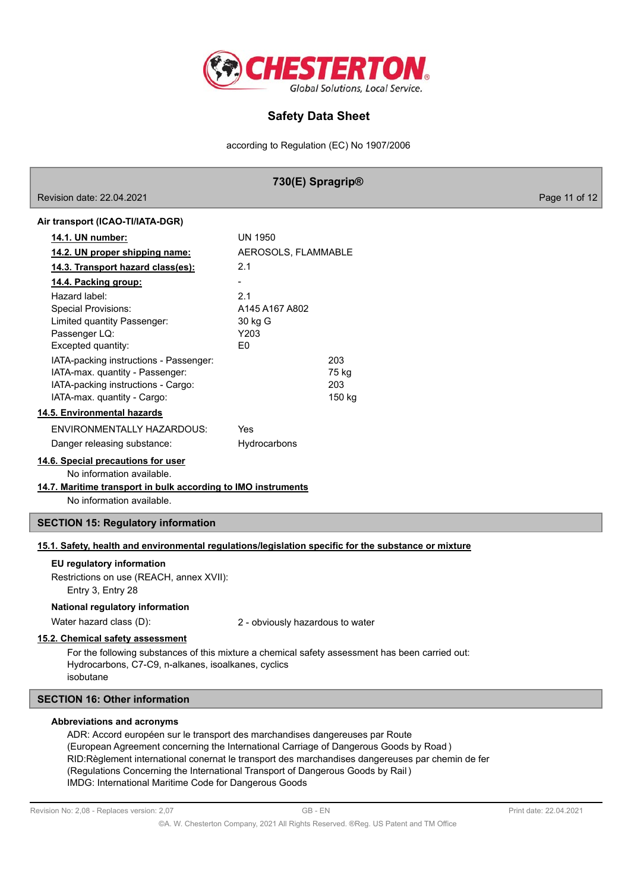

according to Regulation (EC) No 1907/2006

|                                                                                                                                                               | 730(E) Spragrip®                                                                                     |               |
|---------------------------------------------------------------------------------------------------------------------------------------------------------------|------------------------------------------------------------------------------------------------------|---------------|
| Revision date: 22.04.2021                                                                                                                                     |                                                                                                      | Page 11 of 12 |
| Air transport (ICAO-TI/IATA-DGR)                                                                                                                              |                                                                                                      |               |
| 14.1. UN number:                                                                                                                                              | <b>UN 1950</b>                                                                                       |               |
| 14.2. UN proper shipping name:                                                                                                                                | AEROSOLS, FLAMMABLE                                                                                  |               |
| 14.3. Transport hazard class(es):                                                                                                                             | 2.1                                                                                                  |               |
| 14.4. Packing group:                                                                                                                                          |                                                                                                      |               |
| Hazard label:                                                                                                                                                 | 2.1                                                                                                  |               |
| <b>Special Provisions:</b>                                                                                                                                    | A145 A167 A802                                                                                       |               |
| Limited quantity Passenger:                                                                                                                                   | 30 kg G                                                                                              |               |
| Passenger LQ:                                                                                                                                                 | Y203                                                                                                 |               |
| Excepted quantity:                                                                                                                                            | E <sub>0</sub>                                                                                       |               |
| IATA-packing instructions - Passenger:                                                                                                                        | 203                                                                                                  |               |
| IATA-max. quantity - Passenger:                                                                                                                               | 75 kg                                                                                                |               |
| IATA-packing instructions - Cargo:                                                                                                                            | 203                                                                                                  |               |
| IATA-max. quantity - Cargo:                                                                                                                                   | 150 kg                                                                                               |               |
| 14.5. Environmental hazards                                                                                                                                   |                                                                                                      |               |
| <b>ENVIRONMENTALLY HAZARDOUS:</b>                                                                                                                             | Yes                                                                                                  |               |
| Danger releasing substance:                                                                                                                                   | Hydrocarbons                                                                                         |               |
| 14.6. Special precautions for user<br>No information available.<br>14.7. Maritime transport in bulk according to IMO instruments<br>No information available. |                                                                                                      |               |
| <b>SECTION 15: Regulatory information</b>                                                                                                                     |                                                                                                      |               |
|                                                                                                                                                               | 15.1. Safety, health and environmental regulations/legislation specific for the substance or mixture |               |
| EU regulatory information                                                                                                                                     |                                                                                                      |               |
|                                                                                                                                                               |                                                                                                      |               |
| Restrictions on use (REACH, annex XVII):<br>Entry 3, Entry 28                                                                                                 |                                                                                                      |               |
|                                                                                                                                                               |                                                                                                      |               |
| National regulatory information                                                                                                                               |                                                                                                      |               |
| Water hazard class (D):                                                                                                                                       | 2 - obviously hazardous to water                                                                     |               |
| 15.2. Chemical safety assessment                                                                                                                              |                                                                                                      |               |
| Hydrocarbons, C7-C9, n-alkanes, isoalkanes, cyclics<br>isobutane                                                                                              | For the following substances of this mixture a chemical safety assessment has been carried out:      |               |
| <b>SECTION 16: Other information</b>                                                                                                                          |                                                                                                      |               |
| <b>Abbreviations and acronyms</b>                                                                                                                             | ADR: Accord européen sur le transport des marchandises dangereuses par Route                         |               |

ADR: Accord européen sur le transport des marchandises dangereuses par Route (European Agreement concerning the International Carriage of Dangerous Goods by Road ) RID:Règlement international conernat le transport des marchandises dangereuses par chemin de fer (Regulations Concerning the International Transport of Dangerous Goods by Rail ) IMDG: International Maritime Code for Dangerous Goods

ſ